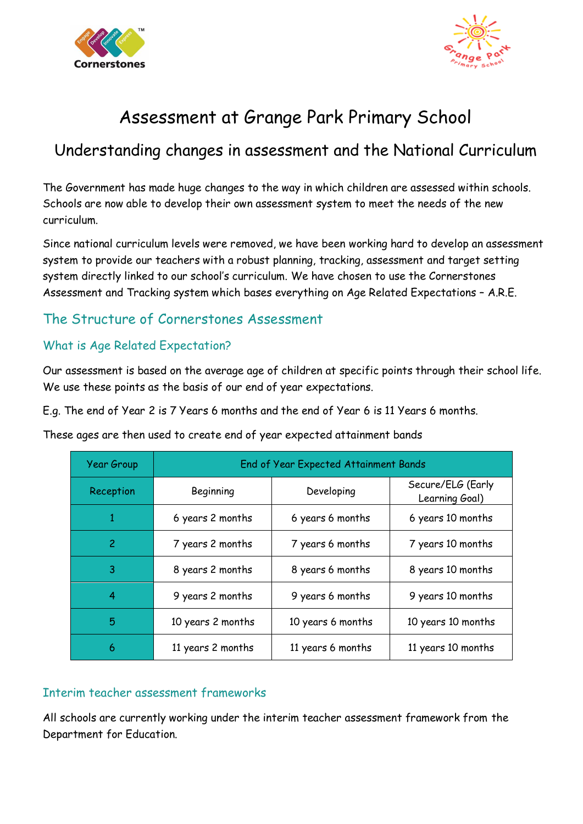



# Assessment at Grange Park Primary School

## Understanding changes in assessment and the National Curriculum

The Government has made huge changes to the way in which children are assessed within schools. Schools are now able to develop their own assessment system to meet the needs of the new curriculum.

Since national curriculum levels were removed, we have been working hard to develop an assessment system to provide our teachers with a robust planning, tracking, assessment and target setting system directly linked to our school's curriculum. We have chosen to use the Cornerstones Assessment and Tracking system which bases everything on Age Related Expectations – A.R.E.

### The Structure of Cornerstones Assessment

#### What is Age Related Expectation?

Our assessment is based on the average age of children at specific points through their school life. We use these points as the basis of our end of year expectations.

E.g. The end of Year 2 is 7 Years 6 months and the end of Year 6 is 11 Years 6 months.

These ages are then used to create end of year expected attainment bands

| <b>Year Group</b> | End of Year Expected Attainment Bands |                   |                                     |  |  |  |
|-------------------|---------------------------------------|-------------------|-------------------------------------|--|--|--|
| Reception         | Beginning                             | Developing        | Secure/ELG (Early<br>Learning Goal) |  |  |  |
| 1                 | 6 years 2 months                      | 6 years 6 months  | 6 years 10 months                   |  |  |  |
| $\mathcal{P}$     | 7 years 2 months                      | 7 years 6 months  | 7 years 10 months                   |  |  |  |
| 3                 | 8 years 2 months                      | 8 years 6 months  | 8 years 10 months                   |  |  |  |
| 4                 | 9 years 2 months                      | 9 years 6 months  | 9 years 10 months                   |  |  |  |
| 5                 | 10 years 2 months                     | 10 years 6 months | 10 years 10 months                  |  |  |  |
| 6                 | 11 years 2 months                     | 11 years 6 months | 11 years 10 months                  |  |  |  |

#### Interim teacher assessment frameworks

All schools are currently working under the interim teacher assessment framework from the Department for Education.